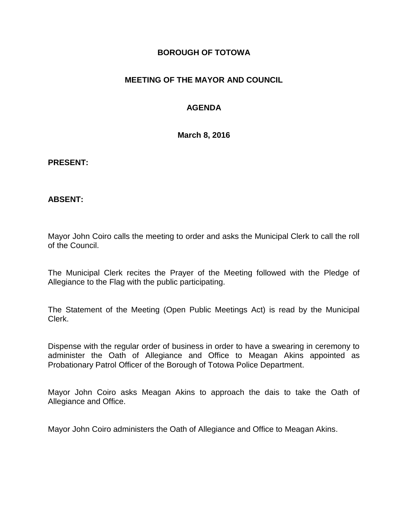## **BOROUGH OF TOTOWA**

# **MEETING OF THE MAYOR AND COUNCIL**

# **AGENDA**

**March 8, 2016**

#### **PRESENT:**

### **ABSENT:**

Mayor John Coiro calls the meeting to order and asks the Municipal Clerk to call the roll of the Council.

The Municipal Clerk recites the Prayer of the Meeting followed with the Pledge of Allegiance to the Flag with the public participating.

The Statement of the Meeting (Open Public Meetings Act) is read by the Municipal Clerk.

Dispense with the regular order of business in order to have a swearing in ceremony to administer the Oath of Allegiance and Office to Meagan Akins appointed as Probationary Patrol Officer of the Borough of Totowa Police Department.

Mayor John Coiro asks Meagan Akins to approach the dais to take the Oath of Allegiance and Office.

Mayor John Coiro administers the Oath of Allegiance and Office to Meagan Akins.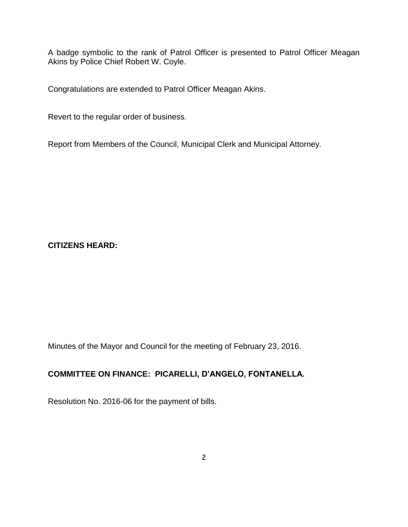A badge symbolic to the rank of Patrol Officer is presented to Patrol Officer Meagan Akins by Police Chief Robert W. Coyle.

Congratulations are extended to Patrol Officer Meagan Akins.

Revert to the regular order of business.

Report from Members of the Council, Municipal Clerk and Municipal Attorney.

**CITIZENS HEARD:**

Minutes of the Mayor and Council for the meeting of February 23, 2016.

# **COMMITTEE ON FINANCE: PICARELLI, D'ANGELO, FONTANELLA.**

Resolution No. 2016-06 for the payment of bills.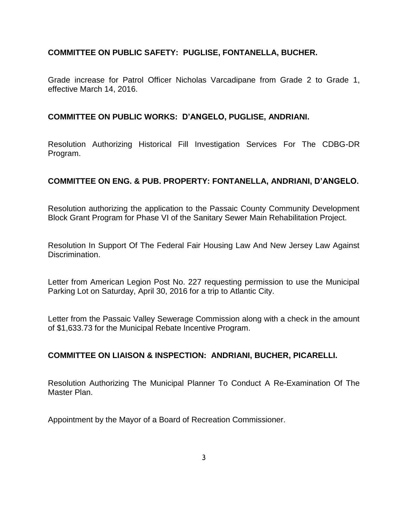## **COMMITTEE ON PUBLIC SAFETY: PUGLISE, FONTANELLA, BUCHER.**

Grade increase for Patrol Officer Nicholas Varcadipane from Grade 2 to Grade 1, effective March 14, 2016.

#### **COMMITTEE ON PUBLIC WORKS: D'ANGELO, PUGLISE, ANDRIANI.**

Resolution Authorizing Historical Fill Investigation Services For The CDBG-DR Program.

### **COMMITTEE ON ENG. & PUB. PROPERTY: FONTANELLA, ANDRIANI, D'ANGELO.**

Resolution authorizing the application to the Passaic County Community Development Block Grant Program for Phase VI of the Sanitary Sewer Main Rehabilitation Project.

Resolution In Support Of The Federal Fair Housing Law And New Jersey Law Against Discrimination.

Letter from American Legion Post No. 227 requesting permission to use the Municipal Parking Lot on Saturday, April 30, 2016 for a trip to Atlantic City.

Letter from the Passaic Valley Sewerage Commission along with a check in the amount of \$1,633.73 for the Municipal Rebate Incentive Program.

### **COMMITTEE ON LIAISON & INSPECTION: ANDRIANI, BUCHER, PICARELLI.**

Resolution Authorizing The Municipal Planner To Conduct A Re-Examination Of The Master Plan.

Appointment by the Mayor of a Board of Recreation Commissioner.